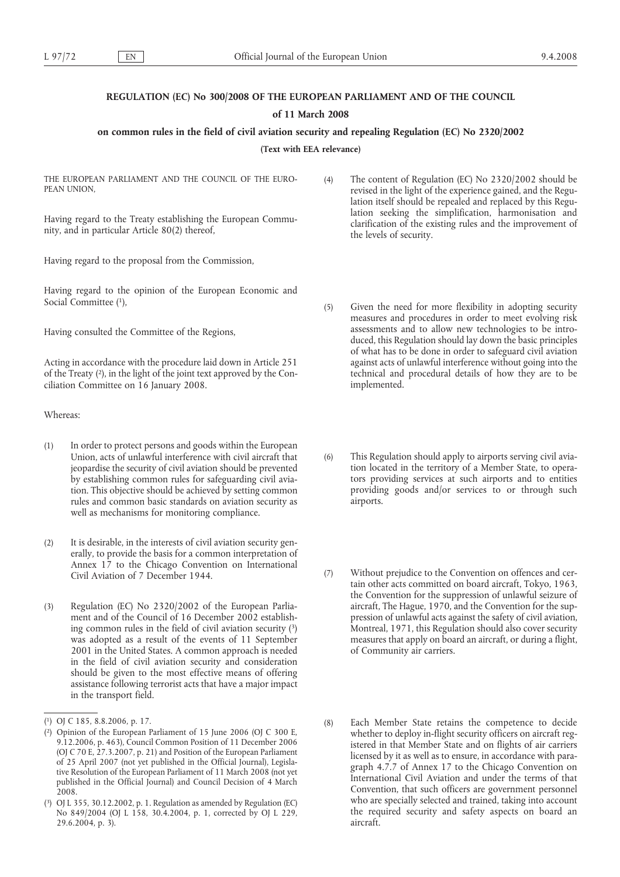# **REGULATION (EC) No 300/2008 OF THE EUROPEAN PARLIAMENT AND OF THE COUNCIL**

# **of 11 March 2008**

# **on common rules in the field of civil aviation security and repealing Regulation (EC) No 2320/2002**

**(Text with EEA relevance)**

THE EUROPEAN PARLIAMENT AND THE COUNCIL OF THE EURO-PEAN UNION,

Having regard to the Treaty establishing the European Community, and in particular Article 80(2) thereof,

Having regard to the proposal from the Commission,

Having regard to the opinion of the European Economic and Social Committee (1),

Having consulted the Committee of the Regions,

Acting in accordance with the procedure laid down in Article 251 of the Treaty (2), in the light of the joint text approved by the Conciliation Committee on 16 January 2008.

Whereas:

- (1) In order to protect persons and goods within the European Union, acts of unlawful interference with civil aircraft that jeopardise the security of civil aviation should be prevented by establishing common rules for safeguarding civil aviation. This objective should be achieved by setting common rules and common basic standards on aviation security as well as mechanisms for monitoring compliance.
- (2) It is desirable, in the interests of civil aviation security generally, to provide the basis for a common interpretation of Annex 17 to the Chicago Convention on International Civil Aviation of 7 December 1944.
- (3) Regulation (EC) No 2320/2002 of the European Parliament and of the Council of 16 December 2002 establishing common rules in the field of civil aviation security (3) was adopted as a result of the events of 11 September 2001 in the United States. A common approach is needed in the field of civil aviation security and consideration should be given to the most effective means of offering assistance following terrorist acts that have a major impact in the transport field.
- (4) The content of Regulation (EC) No 2320/2002 should be revised in the light of the experience gained, and the Regulation itself should be repealed and replaced by this Regulation seeking the simplification, harmonisation and clarification of the existing rules and the improvement of the levels of security.
- (5) Given the need for more flexibility in adopting security measures and procedures in order to meet evolving risk assessments and to allow new technologies to be introduced, this Regulation should lay down the basic principles of what has to be done in order to safeguard civil aviation against acts of unlawful interference without going into the technical and procedural details of how they are to be implemented.
- (6) This Regulation should apply to airports serving civil aviation located in the territory of a Member State, to operators providing services at such airports and to entities providing goods and/or services to or through such airports.
- (7) Without prejudice to the Convention on offences and certain other acts committed on board aircraft, Tokyo, 1963, the Convention for the suppression of unlawful seizure of aircraft, The Hague, 1970, and the Convention for the suppression of unlawful acts against the safety of civil aviation, Montreal, 1971, this Regulation should also cover security measures that apply on board an aircraft, or during a flight, of Community air carriers.
- (8) Each Member State retains the competence to decide whether to deploy in-flight security officers on aircraft registered in that Member State and on flights of air carriers licensed by it as well as to ensure, in accordance with paragraph 4.7.7 of Annex 17 to the Chicago Convention on International Civil Aviation and under the terms of that Convention, that such officers are government personnel who are specially selected and trained, taking into account the required security and safety aspects on board an aircraft.

<sup>(</sup> 1) OJ C 185, 8.8.2006, p. 17.

<sup>(</sup> 2) Opinion of the European Parliament of 15 June 2006 (OJ C 300 E, 9.12.2006, p. 463), Council Common Position of 11 December 2006 (OJ C 70 E, 27.3.2007, p. 21) and Position of the European Parliament of 25 April 2007 (not yet published in the Official Journal), Legislative Resolution of the European Parliament of 11 March 2008 (not yet published in the Official Journal) and Council Decision of 4 March 2008.

<sup>(</sup> 3) OJ L 355, 30.12.2002, p. 1. Regulation as amended by Regulation (EC) No 849/2004 (OJ L 158, 30.4.2004, p. 1, corrected by OJ L 229, 29.6.2004, p. 3).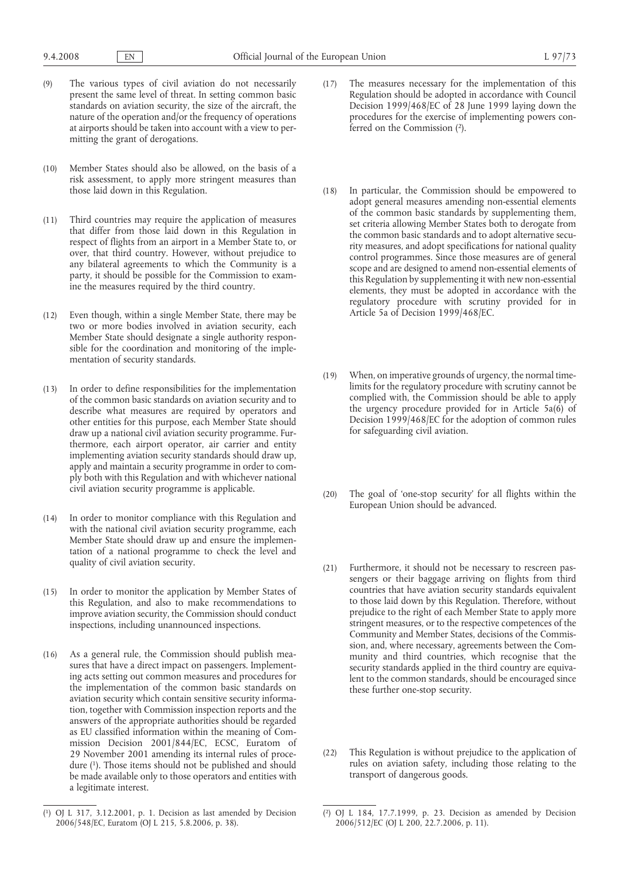- (9) The various types of civil aviation do not necessarily present the same level of threat. In setting common basic standards on aviation security, the size of the aircraft, the nature of the operation and/or the frequency of operations at airports should be taken into account with a view to permitting the grant of derogations.
- (10) Member States should also be allowed, on the basis of a risk assessment, to apply more stringent measures than those laid down in this Regulation.
- (11) Third countries may require the application of measures that differ from those laid down in this Regulation in respect of flights from an airport in a Member State to, or over, that third country. However, without prejudice to any bilateral agreements to which the Community is a party, it should be possible for the Commission to examine the measures required by the third country.
- (12) Even though, within a single Member State, there may be two or more bodies involved in aviation security, each Member State should designate a single authority responsible for the coordination and monitoring of the implementation of security standards.
- (13) In order to define responsibilities for the implementation of the common basic standards on aviation security and to describe what measures are required by operators and other entities for this purpose, each Member State should draw up a national civil aviation security programme. Furthermore, each airport operator, air carrier and entity implementing aviation security standards should draw up, apply and maintain a security programme in order to comply both with this Regulation and with whichever national civil aviation security programme is applicable.
- (14) In order to monitor compliance with this Regulation and with the national civil aviation security programme, each Member State should draw up and ensure the implementation of a national programme to check the level and quality of civil aviation security.
- (15) In order to monitor the application by Member States of this Regulation, and also to make recommendations to improve aviation security, the Commission should conduct inspections, including unannounced inspections.
- (16) As a general rule, the Commission should publish measures that have a direct impact on passengers. Implementing acts setting out common measures and procedures for the implementation of the common basic standards on aviation security which contain sensitive security information, together with Commission inspection reports and the answers of the appropriate authorities should be regarded as EU classified information within the meaning of Commission Decision 2001/844/EC, ECSC, Euratom of 29 November 2001 amending its internal rules of procedure (1). Those items should not be published and should be made available only to those operators and entities with a legitimate interest.
- (17) The measures necessary for the implementation of this Regulation should be adopted in accordance with Council Decision 1999/468/EC of 28 June 1999 laying down the procedures for the exercise of implementing powers conferred on the Commission (2).
- (18) In particular, the Commission should be empowered to adopt general measures amending non-essential elements of the common basic standards by supplementing them, set criteria allowing Member States both to derogate from the common basic standards and to adopt alternative security measures, and adopt specifications for national quality control programmes. Since those measures are of general scope and are designed to amend non-essential elements of this Regulation by supplementing it with new non-essential elements, they must be adopted in accordance with the regulatory procedure with scrutiny provided for in Article 5a of Decision 1999/468/EC.
- (19) When, on imperative grounds of urgency, the normal timelimits for the regulatory procedure with scrutiny cannot be complied with, the Commission should be able to apply the urgency procedure provided for in Article  $5a(6)$  of Decision 1999/468/EC for the adoption of common rules for safeguarding civil aviation.
- (20) The goal of 'one-stop security' for all flights within the European Union should be advanced.
- (21) Furthermore, it should not be necessary to rescreen passengers or their baggage arriving on flights from third countries that have aviation security standards equivalent to those laid down by this Regulation. Therefore, without prejudice to the right of each Member State to apply more stringent measures, or to the respective competences of the Community and Member States, decisions of the Commission, and, where necessary, agreements between the Community and third countries, which recognise that the security standards applied in the third country are equivalent to the common standards, should be encouraged since these further one-stop security.
- (22) This Regulation is without prejudice to the application of rules on aviation safety, including those relating to the transport of dangerous goods.

<sup>(</sup> 1) OJ L 317, 3.12.2001, p. 1. Decision as last amended by Decision 2006/548/EC, Euratom (OJ L 215, 5.8.2006, p. 38).

<sup>(</sup> 2) OJ L 184, 17.7.1999, p. 23. Decision as amended by Decision 2006/512/EC (OJ L 200, 22.7.2006, p. 11).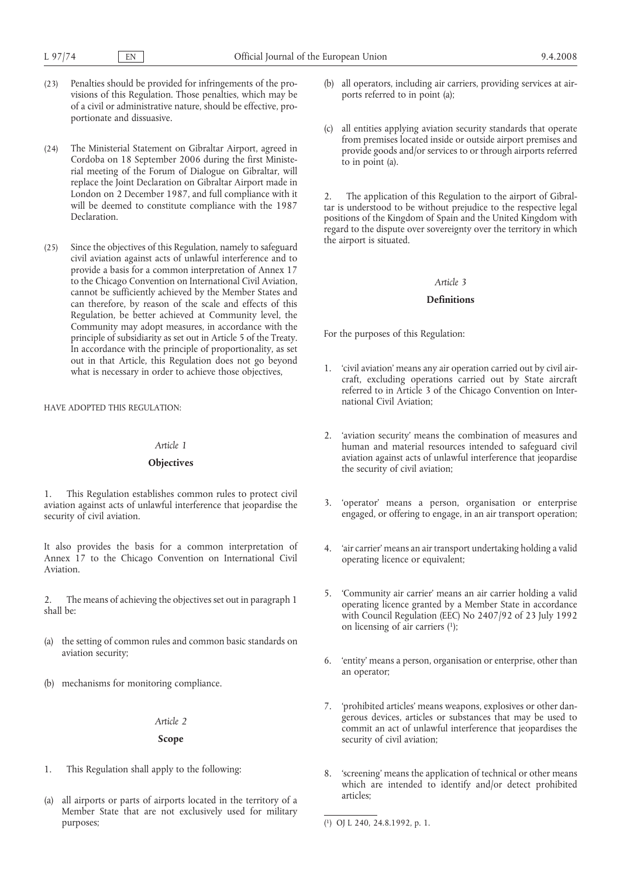- (23) Penalties should be provided for infringements of the provisions of this Regulation. Those penalties, which may be of a civil or administrative nature, should be effective, proportionate and dissuasive.
- (24) The Ministerial Statement on Gibraltar Airport, agreed in Cordoba on 18 September 2006 during the first Ministerial meeting of the Forum of Dialogue on Gibraltar, will replace the Joint Declaration on Gibraltar Airport made in London on 2 December 1987, and full compliance with it will be deemed to constitute compliance with the 1987 Declaration.
- (25) Since the objectives of this Regulation, namely to safeguard civil aviation against acts of unlawful interference and to provide a basis for a common interpretation of Annex 17 to the Chicago Convention on International Civil Aviation, cannot be sufficiently achieved by the Member States and can therefore, by reason of the scale and effects of this Regulation, be better achieved at Community level, the Community may adopt measures, in accordance with the principle of subsidiarity as set out in Article 5 of the Treaty. In accordance with the principle of proportionality, as set out in that Article, this Regulation does not go beyond what is necessary in order to achieve those objectives,

# HAVE ADOPTED THIS REGULATION:

## *Article 1*

## **Objectives**

This Regulation establishes common rules to protect civil aviation against acts of unlawful interference that jeopardise the security of civil aviation.

It also provides the basis for a common interpretation of Annex 17 to the Chicago Convention on International Civil Aviation.

2. The means of achieving the objectives set out in paragraph 1 shall be:

- (a) the setting of common rules and common basic standards on aviation security;
- (b) mechanisms for monitoring compliance.

# *Article 2*

### **Scope**

- 1. This Regulation shall apply to the following:
- (a) all airports or parts of airports located in the territory of a Member State that are not exclusively used for military purposes;
- (b) all operators, including air carriers, providing services at airports referred to in point (a);
- (c) all entities applying aviation security standards that operate from premises located inside or outside airport premises and provide goods and/or services to or through airports referred to in point (a).

2. The application of this Regulation to the airport of Gibraltar is understood to be without prejudice to the respective legal positions of the Kingdom of Spain and the United Kingdom with regard to the dispute over sovereignty over the territory in which the airport is situated.

### *Article 3*

#### **Definitions**

For the purposes of this Regulation:

- 1. 'civil aviation' means any air operation carried out by civil aircraft, excluding operations carried out by State aircraft referred to in Article 3 of the Chicago Convention on International Civil Aviation;
- 2. 'aviation security' means the combination of measures and human and material resources intended to safeguard civil aviation against acts of unlawful interference that jeopardise the security of civil aviation;
- 3. 'operator' means a person, organisation or enterprise engaged, or offering to engage, in an air transport operation;
- 4. 'air carrier' means an air transport undertaking holding a valid operating licence or equivalent;
- 5. 'Community air carrier' means an air carrier holding a valid operating licence granted by a Member State in accordance with Council Regulation (EEC) No 2407/92 of 23 July 1992 on licensing of air carriers (1);
- 6. 'entity' means a person, organisation or enterprise, other than an operator;
- 7. 'prohibited articles' means weapons, explosives or other dangerous devices, articles or substances that may be used to commit an act of unlawful interference that jeopardises the security of civil aviation;
- 8. 'screening' means the application of technical or other means which are intended to identify and/or detect prohibited articles;

<sup>(</sup> 1) OJ L 240, 24.8.1992, p. 1.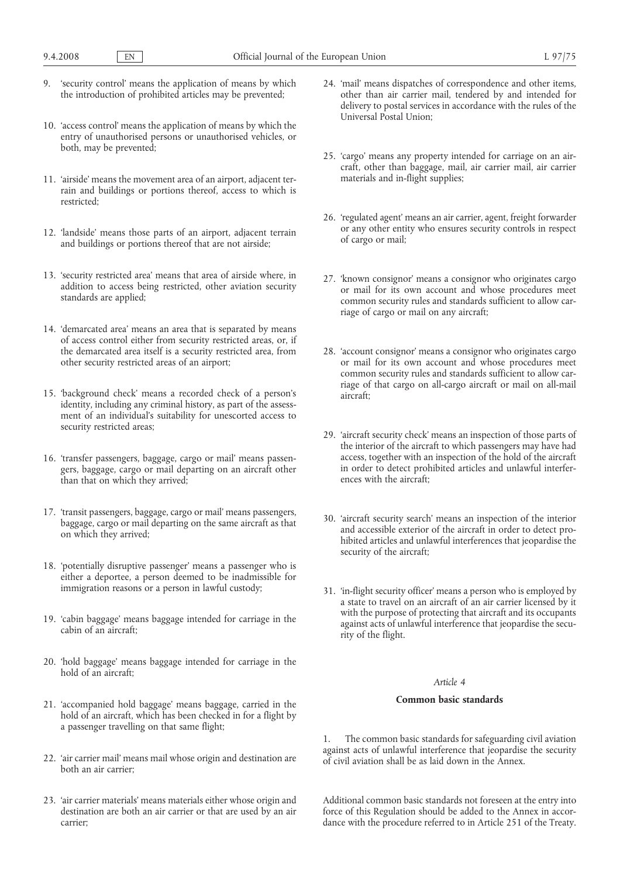- 9. 'security control' means the application of means by which the introduction of prohibited articles may be prevented;
- 10. 'access control' means the application of means by which the entry of unauthorised persons or unauthorised vehicles, or both, may be prevented;
- 11. 'airside' means the movement area of an airport, adjacent terrain and buildings or portions thereof, access to which is restricted;
- 12. 'landside' means those parts of an airport, adjacent terrain and buildings or portions thereof that are not airside;
- 13. 'security restricted area' means that area of airside where, in addition to access being restricted, other aviation security standards are applied;
- 14. 'demarcated area' means an area that is separated by means of access control either from security restricted areas, or, if the demarcated area itself is a security restricted area, from other security restricted areas of an airport;
- 15. 'background check' means a recorded check of a person's identity, including any criminal history, as part of the assessment of an individual's suitability for unescorted access to security restricted areas;
- 16. 'transfer passengers, baggage, cargo or mail' means passengers, baggage, cargo or mail departing on an aircraft other than that on which they arrived;
- 17. 'transit passengers, baggage, cargo or mail' means passengers, baggage, cargo or mail departing on the same aircraft as that on which they arrived;
- 18. 'potentially disruptive passenger' means a passenger who is either a deportee, a person deemed to be inadmissible for immigration reasons or a person in lawful custody;
- 19. 'cabin baggage' means baggage intended for carriage in the cabin of an aircraft;
- 20. 'hold baggage' means baggage intended for carriage in the hold of an aircraft;
- 21. 'accompanied hold baggage' means baggage, carried in the hold of an aircraft, which has been checked in for a flight by a passenger travelling on that same flight;
- 22. 'air carrier mail' means mail whose origin and destination are both an air carrier;
- 23. 'air carrier materials' means materials either whose origin and destination are both an air carrier or that are used by an air carrier;
- 24. 'mail' means dispatches of correspondence and other items, other than air carrier mail, tendered by and intended for delivery to postal services in accordance with the rules of the Universal Postal Union;
- 25. 'cargo' means any property intended for carriage on an aircraft, other than baggage, mail, air carrier mail, air carrier materials and in-flight supplies;
- 26. 'regulated agent' means an air carrier, agent, freight forwarder or any other entity who ensures security controls in respect of cargo or mail;
- 27. 'known consignor' means a consignor who originates cargo or mail for its own account and whose procedures meet common security rules and standards sufficient to allow carriage of cargo or mail on any aircraft;
- 28. 'account consignor' means a consignor who originates cargo or mail for its own account and whose procedures meet common security rules and standards sufficient to allow carriage of that cargo on all-cargo aircraft or mail on all-mail aircraft;
- 29. 'aircraft security check' means an inspection of those parts of the interior of the aircraft to which passengers may have had access, together with an inspection of the hold of the aircraft in order to detect prohibited articles and unlawful interferences with the aircraft;
- 30. 'aircraft security search' means an inspection of the interior and accessible exterior of the aircraft in order to detect prohibited articles and unlawful interferences that jeopardise the security of the aircraft;
- 31. 'in-flight security officer' means a person who is employed by a state to travel on an aircraft of an air carrier licensed by it with the purpose of protecting that aircraft and its occupants against acts of unlawful interference that jeopardise the security of the flight.

# *Article 4*

# **Common basic standards**

1. The common basic standards for safeguarding civil aviation against acts of unlawful interference that jeopardise the security of civil aviation shall be as laid down in the Annex.

Additional common basic standards not foreseen at the entry into force of this Regulation should be added to the Annex in accordance with the procedure referred to in Article 251 of the Treaty.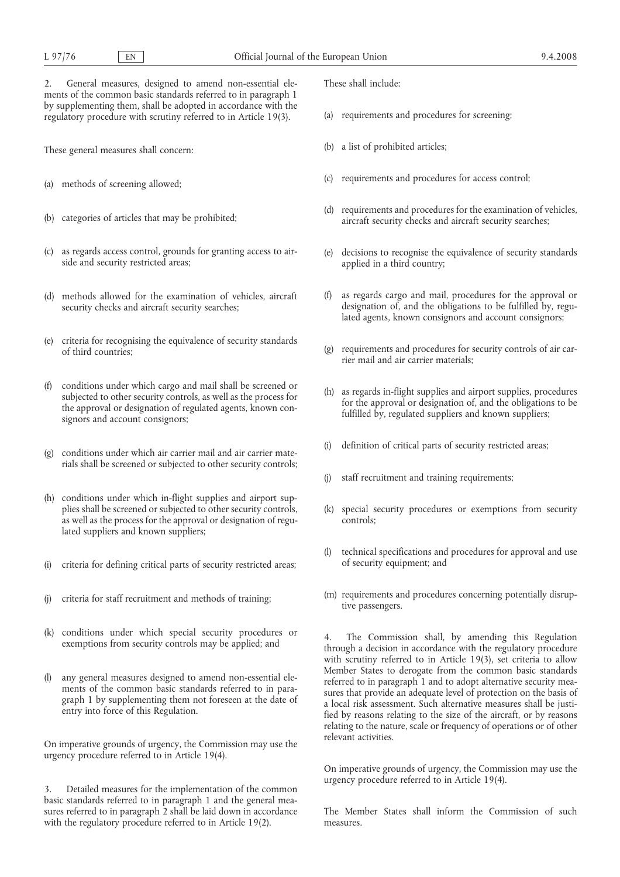2. General measures, designed to amend non-essential elements of the common basic standards referred to in paragraph 1 by supplementing them, shall be adopted in accordance with the regulatory procedure with scrutiny referred to in Article 19(3).

These general measures shall concern:

- (a) methods of screening allowed;
- (b) categories of articles that may be prohibited;
- (c) as regards access control, grounds for granting access to airside and security restricted areas;
- (d) methods allowed for the examination of vehicles, aircraft security checks and aircraft security searches;
- (e) criteria for recognising the equivalence of security standards of third countries;
- (f) conditions under which cargo and mail shall be screened or subjected to other security controls, as well as the process for the approval or designation of regulated agents, known consignors and account consignors;
- (g) conditions under which air carrier mail and air carrier materials shall be screened or subjected to other security controls;
- (h) conditions under which in-flight supplies and airport supplies shall be screened or subjected to other security controls, as well as the process for the approval or designation of regulated suppliers and known suppliers;
- (i) criteria for defining critical parts of security restricted areas;
- criteria for staff recruitment and methods of training;
- (k) conditions under which special security procedures or exemptions from security controls may be applied; and
- any general measures designed to amend non-essential elements of the common basic standards referred to in paragraph 1 by supplementing them not foreseen at the date of entry into force of this Regulation.

On imperative grounds of urgency, the Commission may use the urgency procedure referred to in Article 19(4).

3. Detailed measures for the implementation of the common basic standards referred to in paragraph 1 and the general measures referred to in paragraph 2 shall be laid down in accordance with the regulatory procedure referred to in Article 19(2).

These shall include:

- requirements and procedures for screening;
- (b) a list of prohibited articles;
- requirements and procedures for access control;
- (d) requirements and procedures for the examination of vehicles, aircraft security checks and aircraft security searches;
- (e) decisions to recognise the equivalence of security standards applied in a third country;
- (f) as regards cargo and mail, procedures for the approval or designation of, and the obligations to be fulfilled by, regulated agents, known consignors and account consignors;
- (g) requirements and procedures for security controls of air carrier mail and air carrier materials;
- (h) as regards in-flight supplies and airport supplies, procedures for the approval or designation of, and the obligations to be fulfilled by, regulated suppliers and known suppliers;
- (i) definition of critical parts of security restricted areas;
- (j) staff recruitment and training requirements;
- (k) special security procedures or exemptions from security controls;
- (l) technical specifications and procedures for approval and use of security equipment; and
- (m) requirements and procedures concerning potentially disruptive passengers.

4. The Commission shall, by amending this Regulation through a decision in accordance with the regulatory procedure with scrutiny referred to in Article 19(3), set criteria to allow Member States to derogate from the common basic standards referred to in paragraph 1 and to adopt alternative security measures that provide an adequate level of protection on the basis of a local risk assessment. Such alternative measures shall be justified by reasons relating to the size of the aircraft, or by reasons relating to the nature, scale or frequency of operations or of other relevant activities.

On imperative grounds of urgency, the Commission may use the urgency procedure referred to in Article 19(4).

The Member States shall inform the Commission of such measures.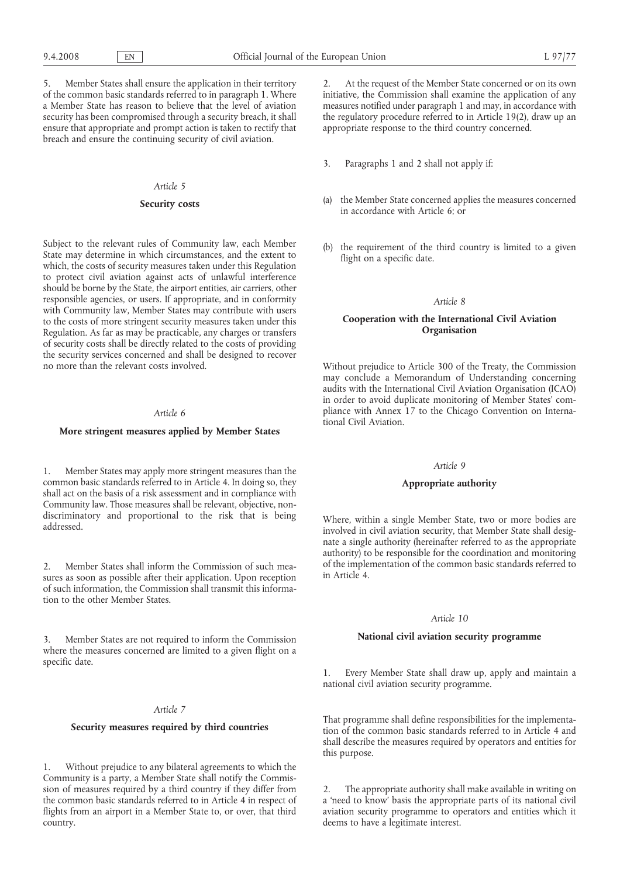5. Member States shall ensure the application in their territory of the common basic standards referred to in paragraph 1. Where a Member State has reason to believe that the level of aviation security has been compromised through a security breach, it shall ensure that appropriate and prompt action is taken to rectify that breach and ensure the continuing security of civil aviation.

#### *Article 5*

#### **Security costs**

Subject to the relevant rules of Community law, each Member State may determine in which circumstances, and the extent to which, the costs of security measures taken under this Regulation to protect civil aviation against acts of unlawful interference should be borne by the State, the airport entities, air carriers, other responsible agencies, or users. If appropriate, and in conformity with Community law, Member States may contribute with users to the costs of more stringent security measures taken under this Regulation. As far as may be practicable, any charges or transfers of security costs shall be directly related to the costs of providing the security services concerned and shall be designed to recover no more than the relevant costs involved.

#### *Article 6*

### **More stringent measures applied by Member States**

1. Member States may apply more stringent measures than the common basic standards referred to in Article 4. In doing so, they shall act on the basis of a risk assessment and in compliance with Community law. Τhose measures shall be relevant, objective, nondiscriminatory and proportional to the risk that is being addressed.

2. Member States shall inform the Commission of such measures as soon as possible after their application. Upon reception of such information, the Commission shall transmit this information to the other Member States.

3. Member States are not required to inform the Commission where the measures concerned are limited to a given flight on a specific date.

## *Article 7*

### **Security measures required by third countries**

1. Without prejudice to any bilateral agreements to which the Community is a party, a Member State shall notify the Commission of measures required by a third country if they differ from the common basic standards referred to in Article 4 in respect of flights from an airport in a Member State to, or over, that third country.

2. At the request of the Member State concerned or on its own initiative, the Commission shall examine the application of any measures notified under paragraph 1 and may, in accordance with the regulatory procedure referred to in Article 19(2), draw up an appropriate response to the third country concerned.

- 3. Paragraphs 1 and 2 shall not apply if:
- (a) the Member State concerned applies the measures concerned in accordance with Article 6; or
- (b) the requirement of the third country is limited to a given flight on a specific date.

### *Article 8*

# **Cooperation with the International Civil Aviation Organisation**

Without prejudice to Article 300 of the Treaty, the Commission may conclude a Memorandum of Understanding concerning audits with the International Civil Aviation Organisation (ICAO) in order to avoid duplicate monitoring of Member States' compliance with Annex 17 to the Chicago Convention on International Civil Aviation.

#### *Article 9*

# **Appropriate authority**

Where, within a single Member State, two or more bodies are involved in civil aviation security, that Member State shall designate a single authority (hereinafter referred to as the appropriate authority) to be responsible for the coordination and monitoring of the implementation of the common basic standards referred to in Article 4.

#### *Article 10*

## **National civil aviation security programme**

1. Every Member State shall draw up, apply and maintain a national civil aviation security programme.

That programme shall define responsibilities for the implementation of the common basic standards referred to in Article 4 and shall describe the measures required by operators and entities for this purpose.

2. The appropriate authority shall make available in writing on a 'need to know' basis the appropriate parts of its national civil aviation security programme to operators and entities which it deems to have a legitimate interest.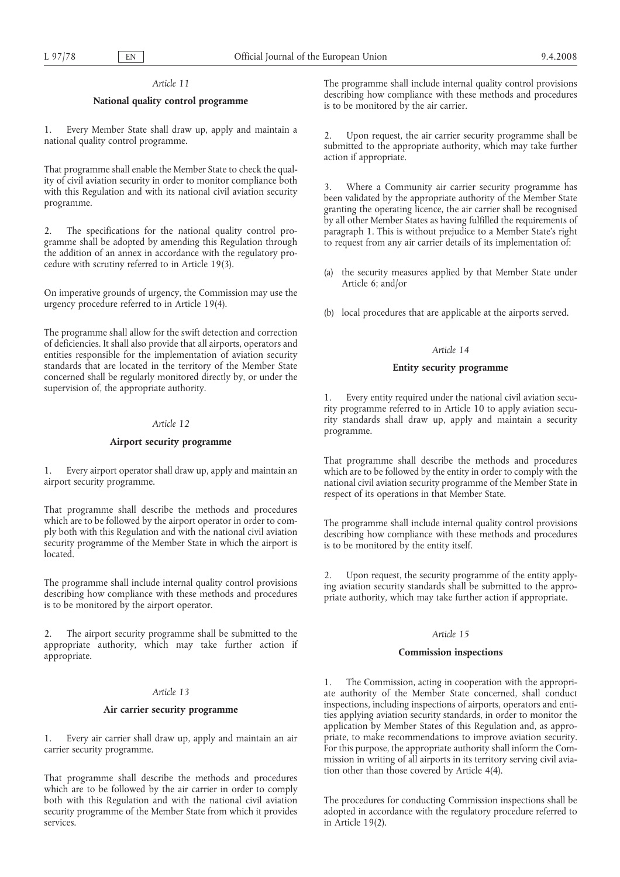## *Article 11*

# **National quality control programme**

1. Every Member State shall draw up, apply and maintain a national quality control programme.

That programme shall enable the Member State to check the quality of civil aviation security in order to monitor compliance both with this Regulation and with its national civil aviation security programme.

2. The specifications for the national quality control programme shall be adopted by amending this Regulation through the addition of an annex in accordance with the regulatory procedure with scrutiny referred to in Article 19(3).

On imperative grounds of urgency, the Commission may use the urgency procedure referred to in Article 19(4).

The programme shall allow for the swift detection and correction of deficiencies. It shall also provide that all airports, operators and entities responsible for the implementation of aviation security standards that are located in the territory of the Member State concerned shall be regularly monitored directly by, or under the supervision of, the appropriate authority.

### *Article 12*

## **Airport security programme**

1. Every airport operator shall draw up, apply and maintain an airport security programme.

That programme shall describe the methods and procedures which are to be followed by the airport operator in order to comply both with this Regulation and with the national civil aviation security programme of the Member State in which the airport is located.

The programme shall include internal quality control provisions describing how compliance with these methods and procedures is to be monitored by the airport operator.

The airport security programme shall be submitted to the appropriate authority, which may take further action if appropriate.

# *Article 13*

#### **Air carrier security programme**

1. Every air carrier shall draw up, apply and maintain an air carrier security programme.

That programme shall describe the methods and procedures which are to be followed by the air carrier in order to comply both with this Regulation and with the national civil aviation security programme of the Member State from which it provides services.

The programme shall include internal quality control provisions describing how compliance with these methods and procedures is to be monitored by the air carrier.

2. Upon request, the air carrier security programme shall be submitted to the appropriate authority, which may take further action if appropriate.

3. Where a Community air carrier security programme has been validated by the appropriate authority of the Member State granting the operating licence, the air carrier shall be recognised by all other Member States as having fulfilled the requirements of paragraph 1. This is without prejudice to a Member State's right to request from any air carrier details of its implementation of:

- (a) the security measures applied by that Member State under Article 6; and/or
- (b) local procedures that are applicable at the airports served.

### *Article 14*

#### **Entity security programme**

1. Every entity required under the national civil aviation security programme referred to in Article 10 to apply aviation security standards shall draw up, apply and maintain a security programme.

That programme shall describe the methods and procedures which are to be followed by the entity in order to comply with the national civil aviation security programme of the Member State in respect of its operations in that Member State.

The programme shall include internal quality control provisions describing how compliance with these methods and procedures is to be monitored by the entity itself.

Upon request, the security programme of the entity applying aviation security standards shall be submitted to the appropriate authority, which may take further action if appropriate.

### *Article 15*

#### **Commission inspections**

1. The Commission, acting in cooperation with the appropriate authority of the Member State concerned, shall conduct inspections, including inspections of airports, operators and entities applying aviation security standards, in order to monitor the application by Member States of this Regulation and, as appropriate, to make recommendations to improve aviation security. For this purpose, the appropriate authority shall inform the Commission in writing of all airports in its territory serving civil aviation other than those covered by Article 4(4).

The procedures for conducting Commission inspections shall be adopted in accordance with the regulatory procedure referred to in Article 19(2).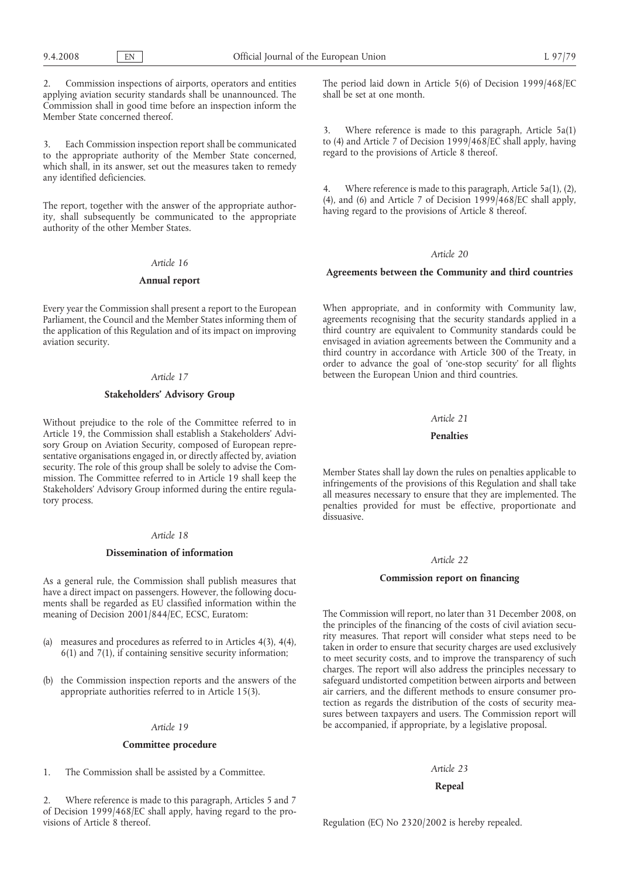2. Commission inspections of airports, operators and entities applying aviation security standards shall be unannounced. The Commission shall in good time before an inspection inform the Member State concerned thereof.

3. Each Commission inspection report shall be communicated to the appropriate authority of the Member State concerned, which shall, in its answer, set out the measures taken to remedy any identified deficiencies.

The report, together with the answer of the appropriate authority, shall subsequently be communicated to the appropriate authority of the other Member States.

## *Article 16*

# **Annual report**

Every year the Commission shall present a report to the European Parliament, the Council and the Member States informing them of the application of this Regulation and of its impact on improving aviation security.

### *Article 17*

### **Stakeholders' Advisory Group**

Without prejudice to the role of the Committee referred to in Article 19, the Commission shall establish a Stakeholders' Advisory Group on Aviation Security, composed of European representative organisations engaged in, or directly affected by, aviation security. The role of this group shall be solely to advise the Commission. The Committee referred to in Article 19 shall keep the Stakeholders' Advisory Group informed during the entire regulatory process.

### *Article 18*

## **Dissemination of information**

As a general rule, the Commission shall publish measures that have a direct impact on passengers. However, the following documents shall be regarded as EU classified information within the meaning of Decision 2001/844/EC, ECSC, Euratom:

- (a) measures and procedures as referred to in Articles 4(3), 4(4), 6(1) and 7(1), if containing sensitive security information;
- (b) the Commission inspection reports and the answers of the appropriate authorities referred to in Article 15(3).

### *Article 19*

## **Committee procedure**

1. The Commission shall be assisted by a Committee.

2. Where reference is made to this paragraph, Articles 5 and 7 of Decision 1999/468/EC shall apply, having regard to the provisions of Article 8 thereof.

The period laid down in Article 5(6) of Decision 1999/468/EC shall be set at one month.

3. Where reference is made to this paragraph, Article 5a(1) to (4) and Article 7 of Decision 1999/468/EC shall apply, having regard to the provisions of Article 8 thereof.

4. Where reference is made to this paragraph, Article 5a(1), (2), (4), and (6) and Article 7 of Decision 1999/468/EC shall apply, having regard to the provisions of Article 8 thereof.

## *Article 20*

## **Agreements between the Community and third countries**

When appropriate, and in conformity with Community law, agreements recognising that the security standards applied in a third country are equivalent to Community standards could be envisaged in aviation agreements between the Community and a third country in accordance with Article 300 of the Treaty, in order to advance the goal of 'one-stop security' for all flights between the European Union and third countries.

#### *Article 21*

### **Penalties**

Member States shall lay down the rules on penalties applicable to infringements of the provisions of this Regulation and shall take all measures necessary to ensure that they are implemented. The penalties provided for must be effective, proportionate and dissuasive.

#### *Article 22*

#### **Commission report on financing**

The Commission will report, no later than 31 December 2008, on the principles of the financing of the costs of civil aviation security measures. That report will consider what steps need to be taken in order to ensure that security charges are used exclusively to meet security costs, and to improve the transparency of such charges. The report will also address the principles necessary to safeguard undistorted competition between airports and between air carriers, and the different methods to ensure consumer protection as regards the distribution of the costs of security measures between taxpayers and users. The Commission report will be accompanied, if appropriate, by a legislative proposal.

## *Article 23*

#### **Repeal**

Regulation (EC) No 2320/2002 is hereby repealed.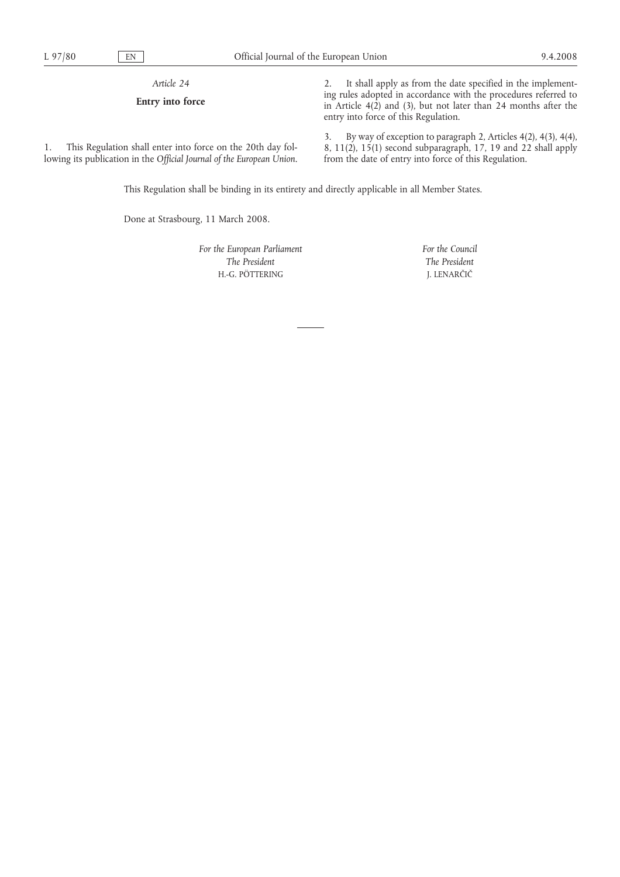*Article 24*

# **Entry into force**

1. This Regulation shall enter into force on the 20th day following its publication in the *Official Journal of the European Union*.

2. It shall apply as from the date specified in the implementing rules adopted in accordance with the procedures referred to in Article  $4(2)$  and (3), but not later than 24 months after the entry into force of this Regulation.

3. By way of exception to paragraph 2, Articles 4(2), 4(3), 4(4), 8, 11(2), 15(1) second subparagraph, 17, 19 and 22 shall apply from the date of entry into force of this Regulation.

This Regulation shall be binding in its entirety and directly applicable in all Member States.

Done at Strasbourg, 11 March 2008.

*For the European Parliament The President* H.-G. PÖTTERING

*For the Council The President* J. LENARČIČ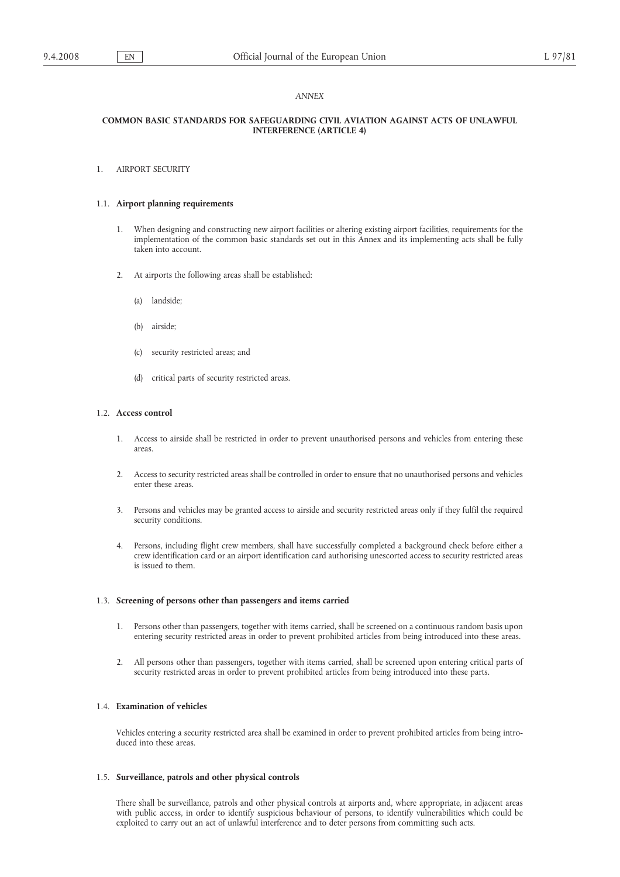## *ANNEX*

# **COMMON BASIC STANDARDS FOR SAFEGUARDING CIVIL AVIATION AGAINST ACTS OF UNLAWFUL INTERFERENCE (ARTICLE 4)**

### 1. AIRPORT SECURITY

### 1.1. **Airport planning requirements**

- 1. When designing and constructing new airport facilities or altering existing airport facilities, requirements for the implementation of the common basic standards set out in this Annex and its implementing acts shall be fully taken into account.
- 2. At airports the following areas shall be established:
	- (a) landside;
	- (b) airside;
	- (c) security restricted areas; and
	- (d) critical parts of security restricted areas.

### 1.2. **Access control**

- 1. Access to airside shall be restricted in order to prevent unauthorised persons and vehicles from entering these areas.
- 2. Access to security restricted areas shall be controlled in order to ensure that no unauthorised persons and vehicles enter these areas.
- 3. Persons and vehicles may be granted access to airside and security restricted areas only if they fulfil the required security conditions.
- 4. Persons, including flight crew members, shall have successfully completed a background check before either a crew identification card or an airport identification card authorising unescorted access to security restricted areas is issued to them.

## 1.3. **Screening of persons other than passengers and items carried**

- 1. Persons other than passengers, together with items carried, shall be screened on a continuous random basis upon entering security restricted areas in order to prevent prohibited articles from being introduced into these areas.
- 2. All persons other than passengers, together with items carried, shall be screened upon entering critical parts of security restricted areas in order to prevent prohibited articles from being introduced into these parts.

## 1.4. **Examination of vehicles**

Vehicles entering a security restricted area shall be examined in order to prevent prohibited articles from being introduced into these areas.

#### 1.5. **Surveillance, patrols and other physical controls**

There shall be surveillance, patrols and other physical controls at airports and, where appropriate, in adjacent areas with public access, in order to identify suspicious behaviour of persons, to identify vulnerabilities which could be exploited to carry out an act of unlawful interference and to deter persons from committing such acts.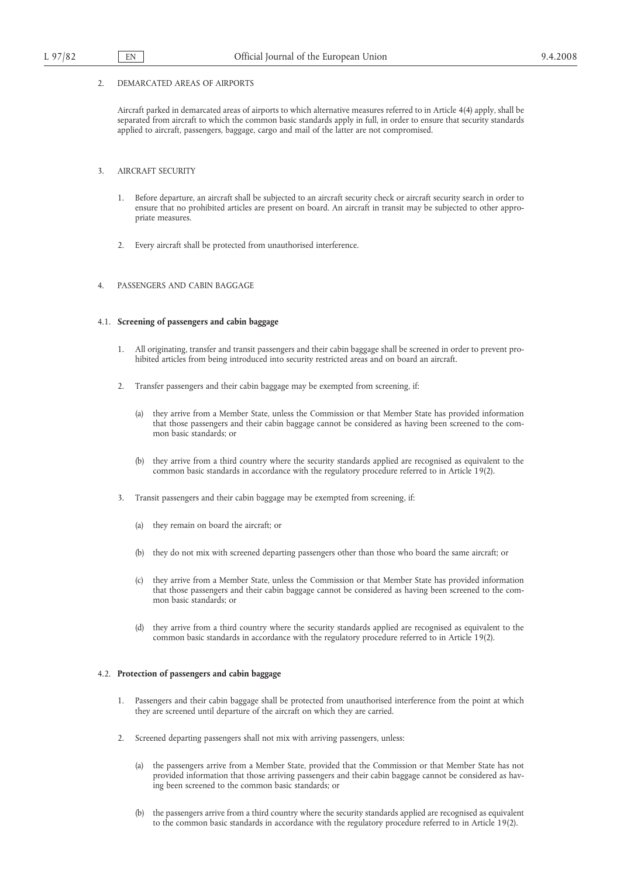#### 2. DEMARCATED AREAS OF AIRPORTS

Aircraft parked in demarcated areas of airports to which alternative measures referred to in Article 4(4) apply, shall be separated from aircraft to which the common basic standards apply in full, in order to ensure that security standards applied to aircraft, passengers, baggage, cargo and mail of the latter are not compromised.

### 3. AIRCRAFT SECURITY

- 1. Before departure, an aircraft shall be subjected to an aircraft security check or aircraft security search in order to ensure that no prohibited articles are present on board. An aircraft in transit may be subjected to other appropriate measures.
- 2. Every aircraft shall be protected from unauthorised interference.

#### PASSENGERS AND CABIN BAGGAGE

#### 4.1. **Screening of passengers and cabin baggage**

- 1. All originating, transfer and transit passengers and their cabin baggage shall be screened in order to prevent prohibited articles from being introduced into security restricted areas and on board an aircraft.
- 2. Transfer passengers and their cabin baggage may be exempted from screening, if:
	- (a) they arrive from a Member State, unless the Commission or that Member State has provided information that those passengers and their cabin baggage cannot be considered as having been screened to the common basic standards; or
	- (b) they arrive from a third country where the security standards applied are recognised as equivalent to the common basic standards in accordance with the regulatory procedure referred to in Article 19(2).
- 3. Transit passengers and their cabin baggage may be exempted from screening, if:
	- (a) they remain on board the aircraft; or
	- (b) they do not mix with screened departing passengers other than those who board the same aircraft; or
	- (c) they arrive from a Member State, unless the Commission or that Member State has provided information that those passengers and their cabin baggage cannot be considered as having been screened to the common basic standards; or
	- (d) they arrive from a third country where the security standards applied are recognised as equivalent to the common basic standards in accordance with the regulatory procedure referred to in Article 19(2).

### 4.2. **Protection of passengers and cabin baggage**

- 1. Passengers and their cabin baggage shall be protected from unauthorised interference from the point at which they are screened until departure of the aircraft on which they are carried.
- 2. Screened departing passengers shall not mix with arriving passengers, unless:
	- (a) the passengers arrive from a Member State, provided that the Commission or that Member State has not provided information that those arriving passengers and their cabin baggage cannot be considered as having been screened to the common basic standards; or
	- (b) the passengers arrive from a third country where the security standards applied are recognised as equivalent to the common basic standards in accordance with the regulatory procedure referred to in Article 19(2).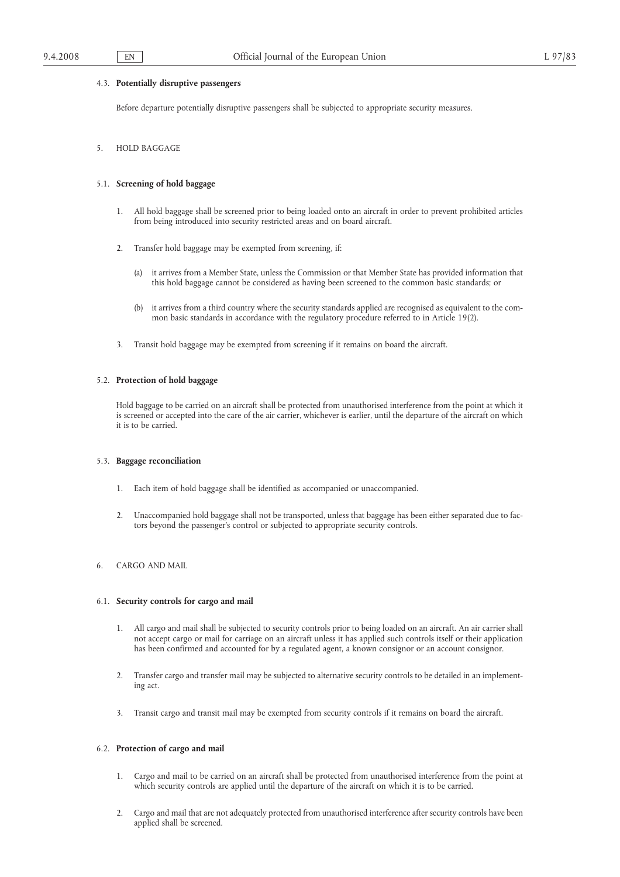### 4.3. **Potentially disruptive passengers**

Before departure potentially disruptive passengers shall be subjected to appropriate security measures.

### 5. HOLD BAGGAGE

### 5.1. **Screening of hold baggage**

- 1. All hold baggage shall be screened prior to being loaded onto an aircraft in order to prevent prohibited articles from being introduced into security restricted areas and on board aircraft.
- 2. Transfer hold baggage may be exempted from screening, if:
	- (a) it arrives from a Member State, unless the Commission or that Member State has provided information that this hold baggage cannot be considered as having been screened to the common basic standards; or
	- (b) it arrives from a third country where the security standards applied are recognised as equivalent to the common basic standards in accordance with the regulatory procedure referred to in Article 19(2).
- 3. Transit hold baggage may be exempted from screening if it remains on board the aircraft.

## 5.2. **Protection of hold baggage**

Hold baggage to be carried on an aircraft shall be protected from unauthorised interference from the point at which it is screened or accepted into the care of the air carrier, whichever is earlier, until the departure of the aircraft on which it is to be carried.

### 5.3. **Baggage reconciliation**

- 1. Each item of hold baggage shall be identified as accompanied or unaccompanied.
- 2. Unaccompanied hold baggage shall not be transported, unless that baggage has been either separated due to factors beyond the passenger's control or subjected to appropriate security controls.

# 6. CARGO AND MAIL

### 6.1. **Security controls for cargo and mail**

- 1. All cargo and mail shall be subjected to security controls prior to being loaded on an aircraft. An air carrier shall not accept cargo or mail for carriage on an aircraft unless it has applied such controls itself or their application has been confirmed and accounted for by a regulated agent, a known consignor or an account consignor.
- 2. Transfer cargo and transfer mail may be subjected to alternative security controls to be detailed in an implementing act.
- 3. Transit cargo and transit mail may be exempted from security controls if it remains on board the aircraft.

# 6.2. **Protection of cargo and mail**

- 1. Cargo and mail to be carried on an aircraft shall be protected from unauthorised interference from the point at which security controls are applied until the departure of the aircraft on which it is to be carried.
- 2. Cargo and mail that are not adequately protected from unauthorised interference after security controls have been applied shall be screened.